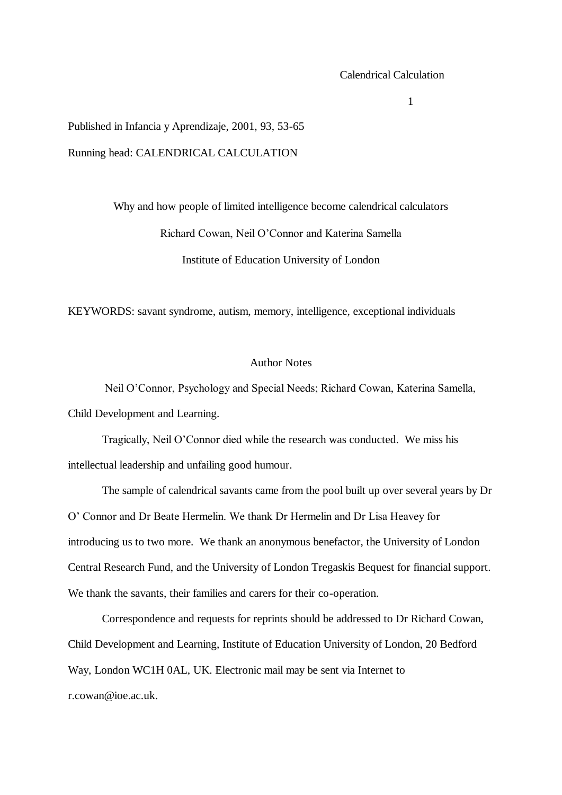#### Calendrical Calculation

1

Published in Infancia y Aprendizaje, 2001, 93, 53-65 Running head: CALENDRICAL CALCULATION

> Why and how people of limited intelligence become calendrical calculators Richard Cowan, Neil O'Connor and Katerina Samella Institute of Education University of London

KEYWORDS: savant syndrome, autism, memory, intelligence, exceptional individuals

### Author Notes

Neil O'Connor, Psychology and Special Needs; Richard Cowan, Katerina Samella, Child Development and Learning.

Tragically, Neil O'Connor died while the research was conducted. We miss his intellectual leadership and unfailing good humour.

The sample of calendrical savants came from the pool built up over several years by Dr O' Connor and Dr Beate Hermelin. We thank Dr Hermelin and Dr Lisa Heavey for introducing us to two more. We thank an anonymous benefactor, the University of London Central Research Fund, and the University of London Tregaskis Bequest for financial support. We thank the savants, their families and carers for their co-operation.

Correspondence and requests for reprints should be addressed to Dr Richard Cowan, Child Development and Learning, Institute of Education University of London, 20 Bedford Way, London WC1H 0AL, UK. Electronic mail may be sent via Internet to r.cowan@ioe.ac.uk.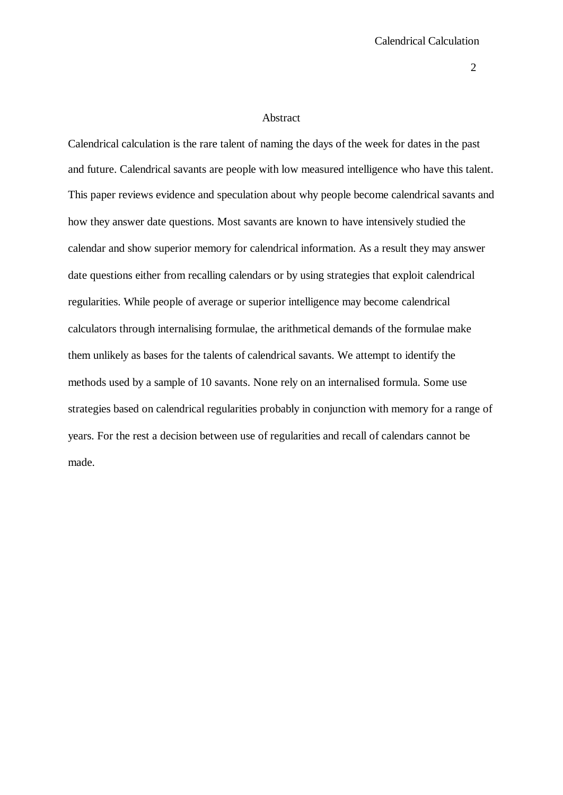### Abstract

Calendrical calculation is the rare talent of naming the days of the week for dates in the past and future. Calendrical savants are people with low measured intelligence who have this talent. This paper reviews evidence and speculation about why people become calendrical savants and how they answer date questions. Most savants are known to have intensively studied the calendar and show superior memory for calendrical information. As a result they may answer date questions either from recalling calendars or by using strategies that exploit calendrical regularities. While people of average or superior intelligence may become calendrical calculators through internalising formulae, the arithmetical demands of the formulae make them unlikely as bases for the talents of calendrical savants. We attempt to identify the methods used by a sample of 10 savants. None rely on an internalised formula. Some use strategies based on calendrical regularities probably in conjunction with memory for a range of years. For the rest a decision between use of regularities and recall of calendars cannot be made.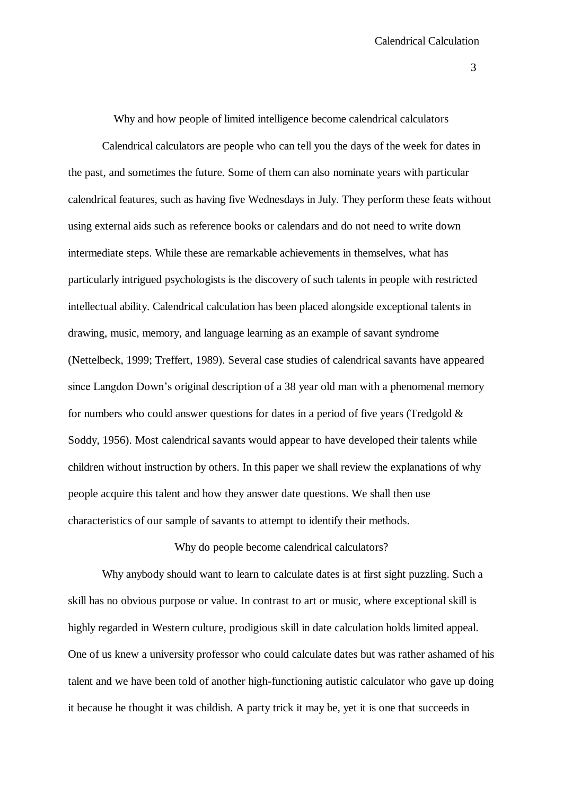Why and how people of limited intelligence become calendrical calculators

Calendrical calculators are people who can tell you the days of the week for dates in the past, and sometimes the future. Some of them can also nominate years with particular calendrical features, such as having five Wednesdays in July. They perform these feats without using external aids such as reference books or calendars and do not need to write down intermediate steps. While these are remarkable achievements in themselves, what has particularly intrigued psychologists is the discovery of such talents in people with restricted intellectual ability. Calendrical calculation has been placed alongside exceptional talents in drawing, music, memory, and language learning as an example of savant syndrome (Nettelbeck, 1999; Treffert, 1989). Several case studies of calendrical savants have appeared since Langdon Down's original description of a 38 year old man with a phenomenal memory for numbers who could answer questions for dates in a period of five years (Tredgold  $\&$ Soddy, 1956). Most calendrical savants would appear to have developed their talents while children without instruction by others. In this paper we shall review the explanations of why people acquire this talent and how they answer date questions. We shall then use characteristics of our sample of savants to attempt to identify their methods.

Why do people become calendrical calculators?

Why anybody should want to learn to calculate dates is at first sight puzzling. Such a skill has no obvious purpose or value. In contrast to art or music, where exceptional skill is highly regarded in Western culture, prodigious skill in date calculation holds limited appeal. One of us knew a university professor who could calculate dates but was rather ashamed of his talent and we have been told of another high-functioning autistic calculator who gave up doing it because he thought it was childish. A party trick it may be, yet it is one that succeeds in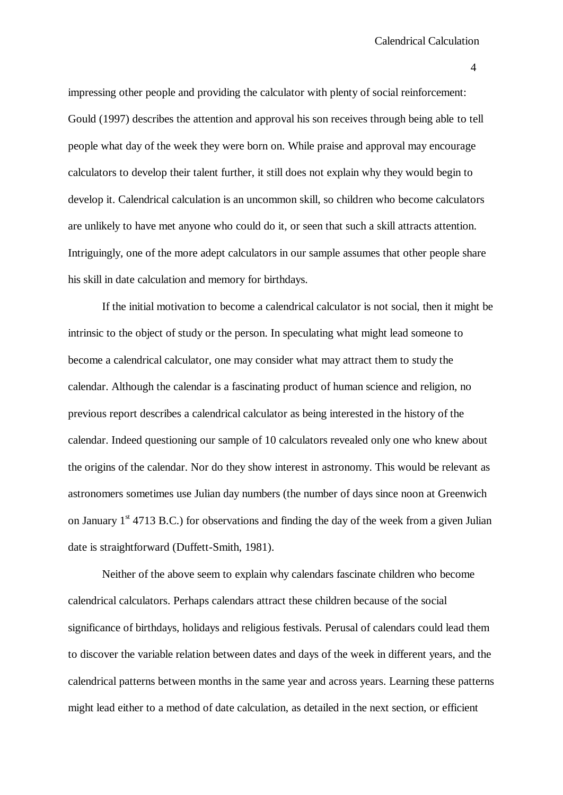impressing other people and providing the calculator with plenty of social reinforcement: Gould (1997) describes the attention and approval his son receives through being able to tell people what day of the week they were born on. While praise and approval may encourage calculators to develop their talent further, it still does not explain why they would begin to develop it. Calendrical calculation is an uncommon skill, so children who become calculators are unlikely to have met anyone who could do it, or seen that such a skill attracts attention. Intriguingly, one of the more adept calculators in our sample assumes that other people share his skill in date calculation and memory for birthdays.

If the initial motivation to become a calendrical calculator is not social, then it might be intrinsic to the object of study or the person. In speculating what might lead someone to become a calendrical calculator, one may consider what may attract them to study the calendar. Although the calendar is a fascinating product of human science and religion, no previous report describes a calendrical calculator as being interested in the history of the calendar. Indeed questioning our sample of 10 calculators revealed only one who knew about the origins of the calendar. Nor do they show interest in astronomy. This would be relevant as astronomers sometimes use Julian day numbers (the number of days since noon at Greenwich on January  $1<sup>st</sup>$  4713 B.C.) for observations and finding the day of the week from a given Julian date is straightforward (Duffett-Smith, 1981).

Neither of the above seem to explain why calendars fascinate children who become calendrical calculators. Perhaps calendars attract these children because of the social significance of birthdays, holidays and religious festivals. Perusal of calendars could lead them to discover the variable relation between dates and days of the week in different years, and the calendrical patterns between months in the same year and across years. Learning these patterns might lead either to a method of date calculation, as detailed in the next section, or efficient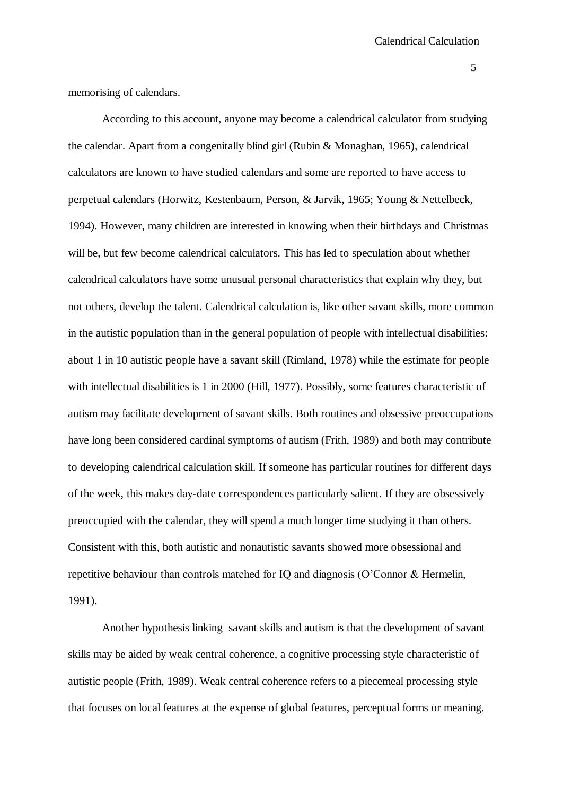memorising of calendars.

According to this account, anyone may become a calendrical calculator from studying the calendar. Apart from a congenitally blind girl (Rubin & Monaghan, 1965), calendrical calculators are known to have studied calendars and some are reported to have access to perpetual calendars (Horwitz, Kestenbaum, Person, & Jarvik, 1965; Young & Nettelbeck, 1994). However, many children are interested in knowing when their birthdays and Christmas will be, but few become calendrical calculators. This has led to speculation about whether calendrical calculators have some unusual personal characteristics that explain why they, but not others, develop the talent. Calendrical calculation is, like other savant skills, more common in the autistic population than in the general population of people with intellectual disabilities: about 1 in 10 autistic people have a savant skill (Rimland, 1978) while the estimate for people with intellectual disabilities is 1 in 2000 (Hill, 1977). Possibly, some features characteristic of autism may facilitate development of savant skills. Both routines and obsessive preoccupations have long been considered cardinal symptoms of autism (Frith, 1989) and both may contribute to developing calendrical calculation skill. If someone has particular routines for different days of the week, this makes day-date correspondences particularly salient. If they are obsessively preoccupied with the calendar, they will spend a much longer time studying it than others. Consistent with this, both autistic and nonautistic savants showed more obsessional and repetitive behaviour than controls matched for IQ and diagnosis (O'Connor & Hermelin, 1991).

Another hypothesis linking savant skills and autism is that the development of savant skills may be aided by weak central coherence, a cognitive processing style characteristic of autistic people (Frith, 1989). Weak central coherence refers to a piecemeal processing style that focuses on local features at the expense of global features, perceptual forms or meaning.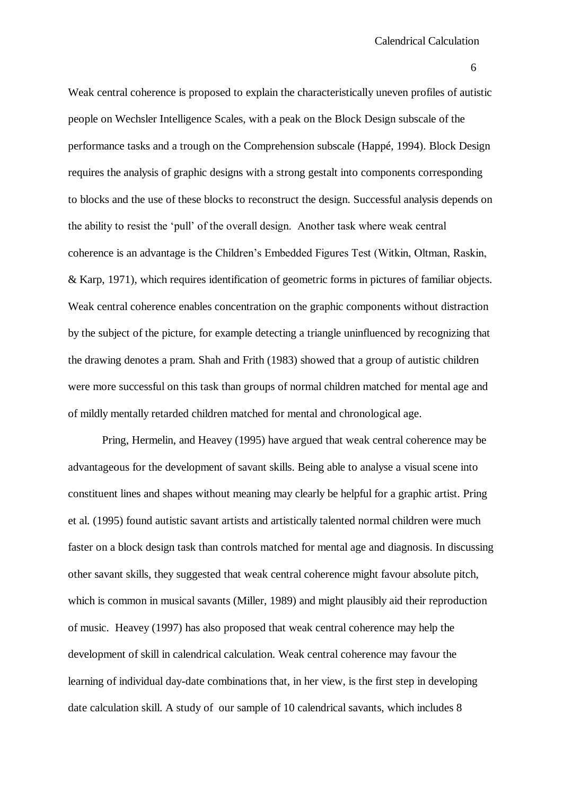Weak central coherence is proposed to explain the characteristically uneven profiles of autistic people on Wechsler Intelligence Scales, with a peak on the Block Design subscale of the performance tasks and a trough on the Comprehension subscale (Happé, 1994). Block Design requires the analysis of graphic designs with a strong gestalt into components corresponding to blocks and the use of these blocks to reconstruct the design. Successful analysis depends on the ability to resist the 'pull' of the overall design. Another task where weak central coherence is an advantage is the Children's Embedded Figures Test (Witkin, Oltman, Raskin, & Karp, 1971), which requires identification of geometric forms in pictures of familiar objects. Weak central coherence enables concentration on the graphic components without distraction by the subject of the picture, for example detecting a triangle uninfluenced by recognizing that the drawing denotes a pram. Shah and Frith (1983) showed that a group of autistic children were more successful on this task than groups of normal children matched for mental age and of mildly mentally retarded children matched for mental and chronological age.

Pring, Hermelin, and Heavey (1995) have argued that weak central coherence may be advantageous for the development of savant skills. Being able to analyse a visual scene into constituent lines and shapes without meaning may clearly be helpful for a graphic artist. Pring et al. (1995) found autistic savant artists and artistically talented normal children were much faster on a block design task than controls matched for mental age and diagnosis. In discussing other savant skills, they suggested that weak central coherence might favour absolute pitch, which is common in musical savants (Miller, 1989) and might plausibly aid their reproduction of music. Heavey (1997) has also proposed that weak central coherence may help the development of skill in calendrical calculation. Weak central coherence may favour the learning of individual day-date combinations that, in her view, is the first step in developing date calculation skill. A study of our sample of 10 calendrical savants, which includes 8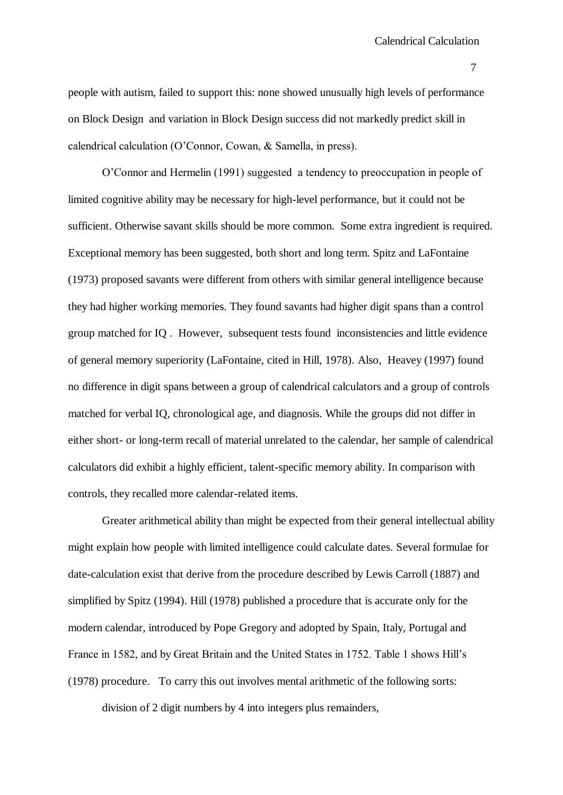people with autism, failed to support this: none showed unusually high levels of performance on Block Design and variation in Block Design success did not markedly predict skill in calendrical calculation (O'Connor, Cowan, & Samella, in press).

O'Connor and Hermelin (1991) suggested a tendency to preoccupation in people of limited cognitive ability may be necessary for high-level performance, but it could not be sufficient. Otherwise savant skills should be more common. Some extra ingredient is required. Exceptional memory has been suggested, both short and long term. Spitz and LaFontaine (1973) proposed savants were different from others with similar general intelligence because they had higher working memories. They found savants had higher digit spans than a control group matched for IQ . However, subsequent tests found inconsistencies and little evidence of general memory superiority (LaFontaine, cited in Hill, 1978). Also, Heavey (1997) found no difference in digit spans between a group of calendrical calculators and a group of controls matched for verbal IQ, chronological age, and diagnosis. While the groups did not differ in either short- or long-term recall of material unrelated to the calendar, her sample of calendrical calculators did exhibit a highly efficient, talent-specific memory ability. In comparison with controls, they recalled more calendar-related items.

Greater arithmetical ability than might be expected from their general intellectual ability might explain how people with limited intelligence could calculate dates. Several formulae for date-calculation exist that derive from the procedure described by Lewis Carroll (1887) and simplified by Spitz (1994). Hill (1978) published a procedure that is accurate only for the modern calendar, introduced by Pope Gregory and adopted by Spain, Italy, Portugal and France in 1582, and by Great Britain and the United States in 1752. Table 1 shows Hill's (1978) procedure. To carry this out involves mental arithmetic of the following sorts:

division of 2 digit numbers by 4 into integers plus remainders,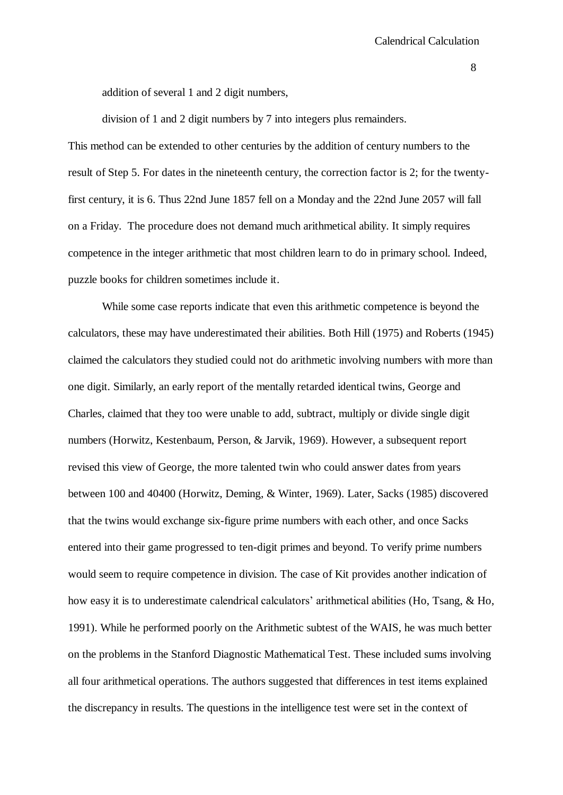addition of several 1 and 2 digit numbers,

division of 1 and 2 digit numbers by 7 into integers plus remainders. This method can be extended to other centuries by the addition of century numbers to the result of Step 5. For dates in the nineteenth century, the correction factor is 2; for the twentyfirst century, it is 6. Thus 22nd June 1857 fell on a Monday and the 22nd June 2057 will fall on a Friday. The procedure does not demand much arithmetical ability. It simply requires competence in the integer arithmetic that most children learn to do in primary school. Indeed, puzzle books for children sometimes include it.

While some case reports indicate that even this arithmetic competence is beyond the calculators, these may have underestimated their abilities. Both Hill (1975) and Roberts (1945) claimed the calculators they studied could not do arithmetic involving numbers with more than one digit. Similarly, an early report of the mentally retarded identical twins, George and Charles, claimed that they too were unable to add, subtract, multiply or divide single digit numbers (Horwitz, Kestenbaum, Person, & Jarvik, 1969). However, a subsequent report revised this view of George, the more talented twin who could answer dates from years between 100 and 40400 (Horwitz, Deming, & Winter, 1969). Later, Sacks (1985) discovered that the twins would exchange six-figure prime numbers with each other, and once Sacks entered into their game progressed to ten-digit primes and beyond. To verify prime numbers would seem to require competence in division. The case of Kit provides another indication of how easy it is to underestimate calendrical calculators' arithmetical abilities (Ho, Tsang, & Ho, 1991). While he performed poorly on the Arithmetic subtest of the WAIS, he was much better on the problems in the Stanford Diagnostic Mathematical Test. These included sums involving all four arithmetical operations. The authors suggested that differences in test items explained the discrepancy in results. The questions in the intelligence test were set in the context of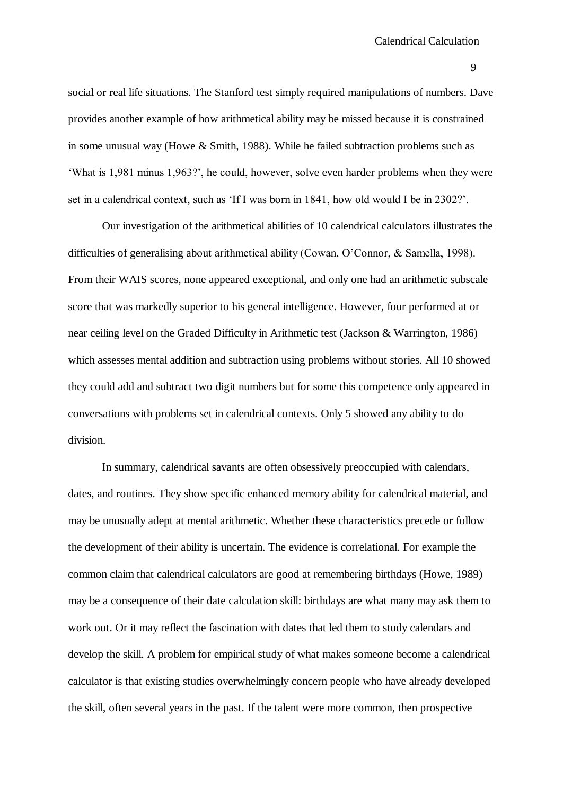social or real life situations. The Stanford test simply required manipulations of numbers. Dave provides another example of how arithmetical ability may be missed because it is constrained in some unusual way (Howe & Smith, 1988). While he failed subtraction problems such as 'What is 1,981 minus 1,963?', he could, however, solve even harder problems when they were set in a calendrical context, such as 'If I was born in 1841, how old would I be in 2302?'.

Our investigation of the arithmetical abilities of 10 calendrical calculators illustrates the difficulties of generalising about arithmetical ability (Cowan, O'Connor, & Samella, 1998). From their WAIS scores, none appeared exceptional, and only one had an arithmetic subscale score that was markedly superior to his general intelligence. However, four performed at or near ceiling level on the Graded Difficulty in Arithmetic test (Jackson & Warrington, 1986) which assesses mental addition and subtraction using problems without stories. All 10 showed they could add and subtract two digit numbers but for some this competence only appeared in conversations with problems set in calendrical contexts. Only 5 showed any ability to do division.

In summary, calendrical savants are often obsessively preoccupied with calendars, dates, and routines. They show specific enhanced memory ability for calendrical material, and may be unusually adept at mental arithmetic. Whether these characteristics precede or follow the development of their ability is uncertain. The evidence is correlational. For example the common claim that calendrical calculators are good at remembering birthdays (Howe, 1989) may be a consequence of their date calculation skill: birthdays are what many may ask them to work out. Or it may reflect the fascination with dates that led them to study calendars and develop the skill. A problem for empirical study of what makes someone become a calendrical calculator is that existing studies overwhelmingly concern people who have already developed the skill, often several years in the past. If the talent were more common, then prospective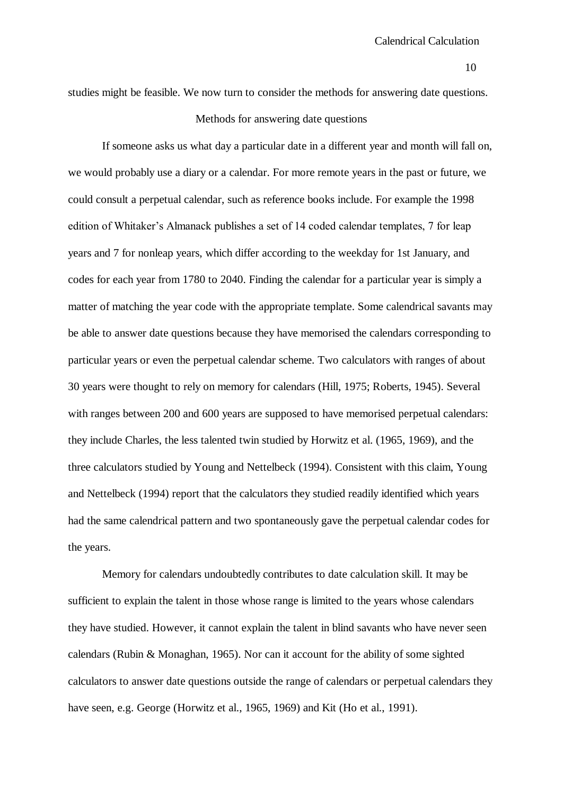studies might be feasible. We now turn to consider the methods for answering date questions.

## Methods for answering date questions

If someone asks us what day a particular date in a different year and month will fall on, we would probably use a diary or a calendar. For more remote years in the past or future, we could consult a perpetual calendar, such as reference books include. For example the 1998 edition of Whitaker's Almanack publishes a set of 14 coded calendar templates, 7 for leap years and 7 for nonleap years, which differ according to the weekday for 1st January, and codes for each year from 1780 to 2040. Finding the calendar for a particular year is simply a matter of matching the year code with the appropriate template. Some calendrical savants may be able to answer date questions because they have memorised the calendars corresponding to particular years or even the perpetual calendar scheme. Two calculators with ranges of about 30 years were thought to rely on memory for calendars (Hill, 1975; Roberts, 1945). Several with ranges between 200 and 600 years are supposed to have memorised perpetual calendars: they include Charles, the less talented twin studied by Horwitz et al. (1965, 1969), and the three calculators studied by Young and Nettelbeck (1994). Consistent with this claim, Young and Nettelbeck (1994) report that the calculators they studied readily identified which years had the same calendrical pattern and two spontaneously gave the perpetual calendar codes for the years.

Memory for calendars undoubtedly contributes to date calculation skill. It may be sufficient to explain the talent in those whose range is limited to the years whose calendars they have studied. However, it cannot explain the talent in blind savants who have never seen calendars (Rubin & Monaghan, 1965). Nor can it account for the ability of some sighted calculators to answer date questions outside the range of calendars or perpetual calendars they have seen, e.g. George (Horwitz et al., 1965, 1969) and Kit (Ho et al., 1991).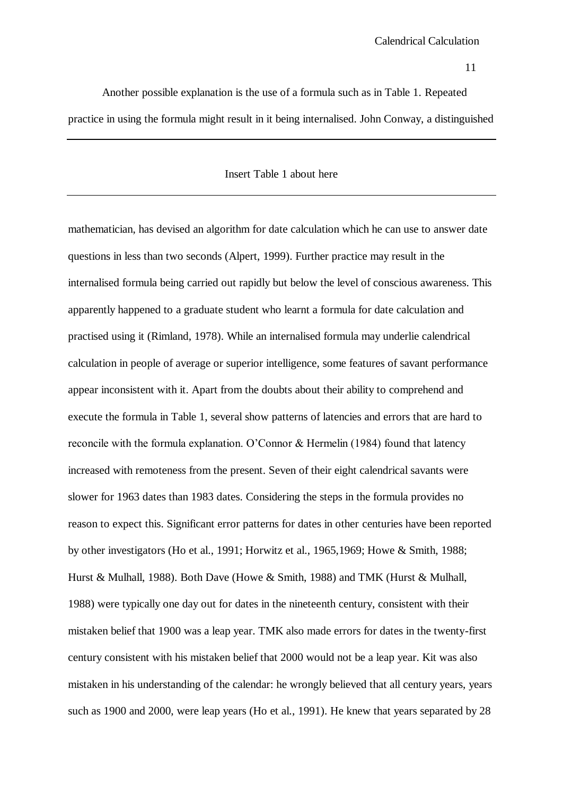Another possible explanation is the use of a formula such as in Table 1. Repeated practice in using the formula might result in it being internalised. John Conway, a distinguished

### Insert Table 1 about here

mathematician, has devised an algorithm for date calculation which he can use to answer date questions in less than two seconds (Alpert, 1999). Further practice may result in the internalised formula being carried out rapidly but below the level of conscious awareness. This apparently happened to a graduate student who learnt a formula for date calculation and practised using it (Rimland, 1978). While an internalised formula may underlie calendrical calculation in people of average or superior intelligence, some features of savant performance appear inconsistent with it. Apart from the doubts about their ability to comprehend and execute the formula in Table 1, several show patterns of latencies and errors that are hard to reconcile with the formula explanation. O'Connor & Hermelin (1984) found that latency increased with remoteness from the present. Seven of their eight calendrical savants were slower for 1963 dates than 1983 dates. Considering the steps in the formula provides no reason to expect this. Significant error patterns for dates in other centuries have been reported by other investigators (Ho et al., 1991; Horwitz et al., 1965,1969; Howe & Smith, 1988; Hurst & Mulhall, 1988). Both Dave (Howe & Smith, 1988) and TMK (Hurst & Mulhall, 1988) were typically one day out for dates in the nineteenth century, consistent with their mistaken belief that 1900 was a leap year. TMK also made errors for dates in the twenty-first century consistent with his mistaken belief that 2000 would not be a leap year. Kit was also mistaken in his understanding of the calendar: he wrongly believed that all century years, years such as 1900 and 2000, were leap years (Ho et al., 1991). He knew that years separated by 28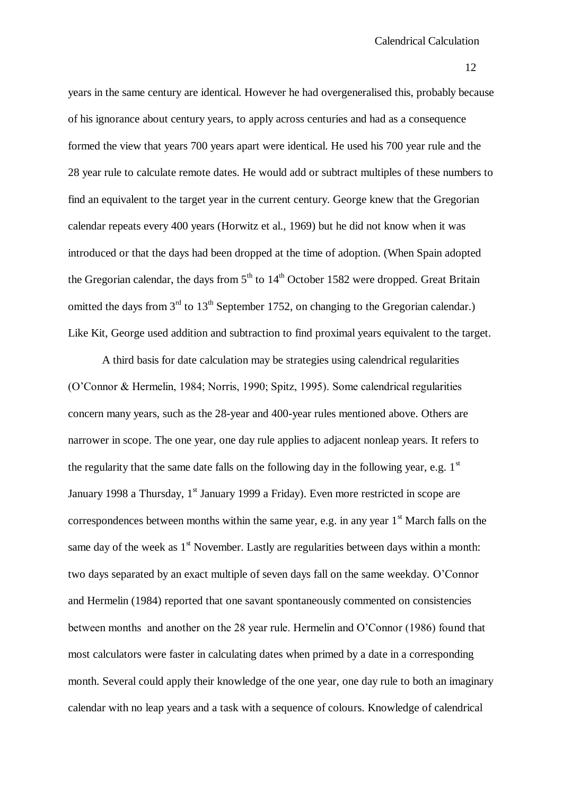years in the same century are identical. However he had overgeneralised this, probably because of his ignorance about century years, to apply across centuries and had as a consequence formed the view that years 700 years apart were identical. He used his 700 year rule and the 28 year rule to calculate remote dates. He would add or subtract multiples of these numbers to find an equivalent to the target year in the current century. George knew that the Gregorian calendar repeats every 400 years (Horwitz et al., 1969) but he did not know when it was introduced or that the days had been dropped at the time of adoption. (When Spain adopted the Gregorian calendar, the days from  $5<sup>th</sup>$  to  $14<sup>th</sup>$  October 1582 were dropped. Great Britain omitted the days from  $3<sup>rd</sup>$  to  $13<sup>th</sup>$  September 1752, on changing to the Gregorian calendar.) Like Kit, George used addition and subtraction to find proximal years equivalent to the target.

A third basis for date calculation may be strategies using calendrical regularities (O'Connor & Hermelin, 1984; Norris, 1990; Spitz, 1995). Some calendrical regularities concern many years, such as the 28-year and 400-year rules mentioned above. Others are narrower in scope. The one year, one day rule applies to adjacent nonleap years. It refers to the regularity that the same date falls on the following day in the following year, e.g.  $1<sup>st</sup>$ January 1998 a Thursday,  $1<sup>st</sup>$  January 1999 a Friday). Even more restricted in scope are correspondences between months within the same year, e.g. in any year  $1<sup>st</sup>$  March falls on the same day of the week as  $1<sup>st</sup>$  November. Lastly are regularities between days within a month: two days separated by an exact multiple of seven days fall on the same weekday. O'Connor and Hermelin (1984) reported that one savant spontaneously commented on consistencies between months and another on the 28 year rule. Hermelin and O'Connor (1986) found that most calculators were faster in calculating dates when primed by a date in a corresponding month. Several could apply their knowledge of the one year, one day rule to both an imaginary calendar with no leap years and a task with a sequence of colours. Knowledge of calendrical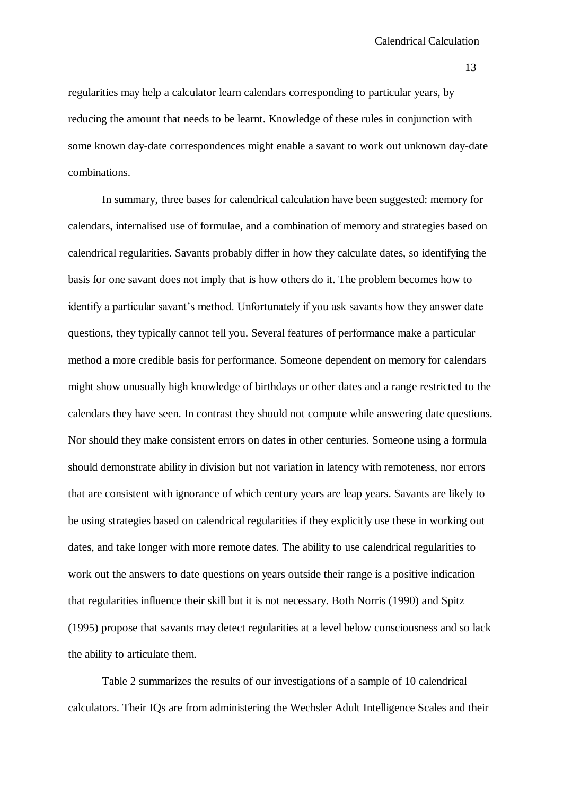regularities may help a calculator learn calendars corresponding to particular years, by reducing the amount that needs to be learnt. Knowledge of these rules in conjunction with some known day-date correspondences might enable a savant to work out unknown day-date combinations.

In summary, three bases for calendrical calculation have been suggested: memory for calendars, internalised use of formulae, and a combination of memory and strategies based on calendrical regularities. Savants probably differ in how they calculate dates, so identifying the basis for one savant does not imply that is how others do it. The problem becomes how to identify a particular savant's method. Unfortunately if you ask savants how they answer date questions, they typically cannot tell you. Several features of performance make a particular method a more credible basis for performance. Someone dependent on memory for calendars might show unusually high knowledge of birthdays or other dates and a range restricted to the calendars they have seen. In contrast they should not compute while answering date questions. Nor should they make consistent errors on dates in other centuries. Someone using a formula should demonstrate ability in division but not variation in latency with remoteness, nor errors that are consistent with ignorance of which century years are leap years. Savants are likely to be using strategies based on calendrical regularities if they explicitly use these in working out dates, and take longer with more remote dates. The ability to use calendrical regularities to work out the answers to date questions on years outside their range is a positive indication that regularities influence their skill but it is not necessary. Both Norris (1990) and Spitz (1995) propose that savants may detect regularities at a level below consciousness and so lack the ability to articulate them.

Table 2 summarizes the results of our investigations of a sample of 10 calendrical calculators. Their IQs are from administering the Wechsler Adult Intelligence Scales and their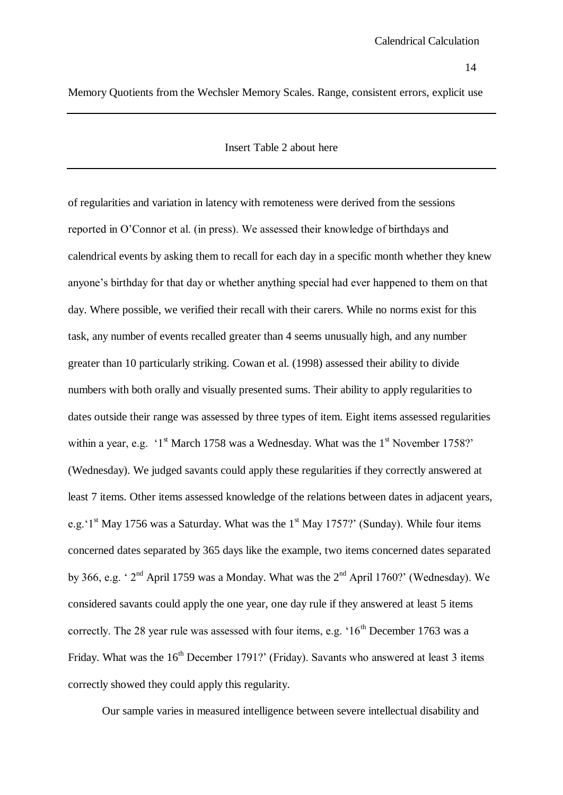Memory Quotients from the Wechsler Memory Scales. Range, consistent errors, explicit use

#### Insert Table 2 about here

of regularities and variation in latency with remoteness were derived from the sessions reported in O'Connor et al. (in press). We assessed their knowledge of birthdays and calendrical events by asking them to recall for each day in a specific month whether they knew anyone's birthday for that day or whether anything special had ever happened to them on that day. Where possible, we verified their recall with their carers. While no norms exist for this task, any number of events recalled greater than 4 seems unusually high, and any number greater than 10 particularly striking. Cowan et al. (1998) assessed their ability to divide numbers with both orally and visually presented sums. Their ability to apply regularities to dates outside their range was assessed by three types of item. Eight items assessed regularities within a year, e.g.  $1<sup>st</sup>$  March 1758 was a Wednesday. What was the  $1<sup>st</sup>$  November 1758?' (Wednesday). We judged savants could apply these regularities if they correctly answered at least 7 items. Other items assessed knowledge of the relations between dates in adjacent years, e.g.'1<sup>st</sup> May 1756 was a Saturday. What was the 1<sup>st</sup> May 1757?' (Sunday). While four items concerned dates separated by 365 days like the example, two items concerned dates separated by 366, e.g. '  $2<sup>nd</sup>$  April 1759 was a Monday. What was the  $2<sup>nd</sup>$  April 1760?' (Wednesday). We considered savants could apply the one year, one day rule if they answered at least 5 items correctly. The 28 year rule was assessed with four items, e.g.  $16<sup>th</sup>$  December 1763 was a Friday. What was the 16<sup>th</sup> December 1791?' (Friday). Savants who answered at least 3 items correctly showed they could apply this regularity.

Our sample varies in measured intelligence between severe intellectual disability and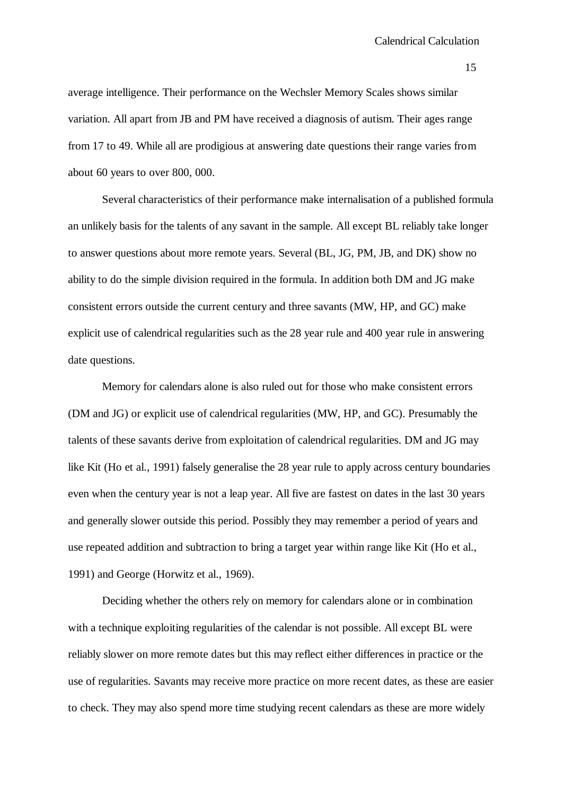average intelligence. Their performance on the Wechsler Memory Scales shows similar variation. All apart from JB and PM have received a diagnosis of autism. Their ages range from 17 to 49. While all are prodigious at answering date questions their range varies from about 60 years to over 800, 000.

Several characteristics of their performance make internalisation of a published formula an unlikely basis for the talents of any savant in the sample. All except BL reliably take longer to answer questions about more remote years. Several (BL, JG, PM, JB, and DK) show no ability to do the simple division required in the formula. In addition both DM and JG make consistent errors outside the current century and three savants (MW, HP, and GC) make explicit use of calendrical regularities such as the 28 year rule and 400 year rule in answering date questions.

Memory for calendars alone is also ruled out for those who make consistent errors (DM and JG) or explicit use of calendrical regularities (MW, HP, and GC). Presumably the talents of these savants derive from exploitation of calendrical regularities. DM and JG may like Kit (Ho et al., 1991) falsely generalise the 28 year rule to apply across century boundaries even when the century year is not a leap year. All five are fastest on dates in the last 30 years and generally slower outside this period. Possibly they may remember a period of years and use repeated addition and subtraction to bring a target year within range like Kit (Ho et al., 1991) and George (Horwitz et al., 1969).

Deciding whether the others rely on memory for calendars alone or in combination with a technique exploiting regularities of the calendar is not possible. All except BL were reliably slower on more remote dates but this may reflect either differences in practice or the use of regularities. Savants may receive more practice on more recent dates, as these are easier to check. They may also spend more time studying recent calendars as these are more widely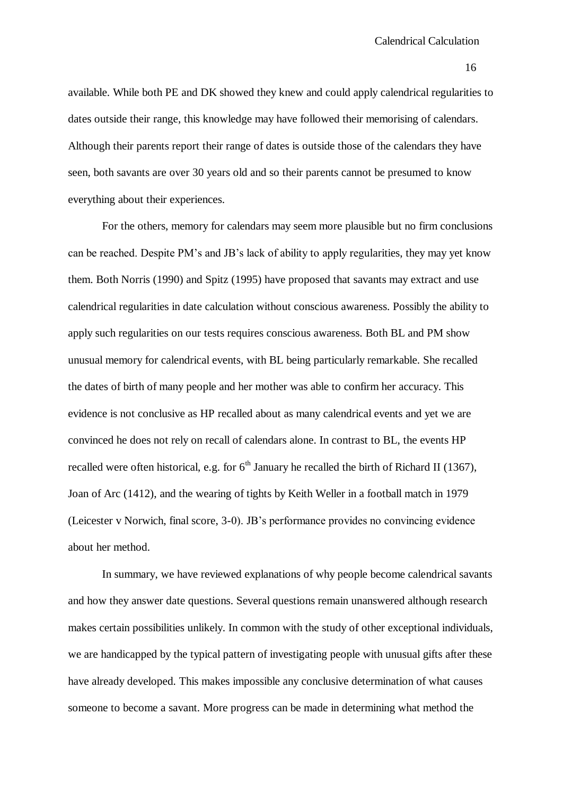available. While both PE and DK showed they knew and could apply calendrical regularities to dates outside their range, this knowledge may have followed their memorising of calendars. Although their parents report their range of dates is outside those of the calendars they have seen, both savants are over 30 years old and so their parents cannot be presumed to know everything about their experiences.

For the others, memory for calendars may seem more plausible but no firm conclusions can be reached. Despite PM's and JB's lack of ability to apply regularities, they may yet know them. Both Norris (1990) and Spitz (1995) have proposed that savants may extract and use calendrical regularities in date calculation without conscious awareness. Possibly the ability to apply such regularities on our tests requires conscious awareness. Both BL and PM show unusual memory for calendrical events, with BL being particularly remarkable. She recalled the dates of birth of many people and her mother was able to confirm her accuracy. This evidence is not conclusive as HP recalled about as many calendrical events and yet we are convinced he does not rely on recall of calendars alone. In contrast to BL, the events HP recalled were often historical, e.g. for  $6<sup>th</sup>$  January he recalled the birth of Richard II (1367), Joan of Arc (1412), and the wearing of tights by Keith Weller in a football match in 1979 (Leicester v Norwich, final score, 3-0). JB's performance provides no convincing evidence about her method.

In summary, we have reviewed explanations of why people become calendrical savants and how they answer date questions. Several questions remain unanswered although research makes certain possibilities unlikely. In common with the study of other exceptional individuals, we are handicapped by the typical pattern of investigating people with unusual gifts after these have already developed. This makes impossible any conclusive determination of what causes someone to become a savant. More progress can be made in determining what method the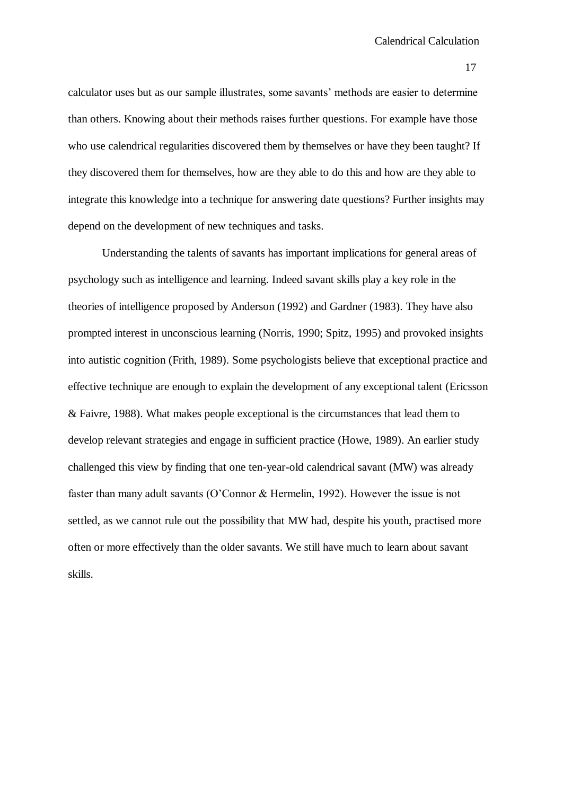calculator uses but as our sample illustrates, some savants' methods are easier to determine than others. Knowing about their methods raises further questions. For example have those who use calendrical regularities discovered them by themselves or have they been taught? If they discovered them for themselves, how are they able to do this and how are they able to integrate this knowledge into a technique for answering date questions? Further insights may depend on the development of new techniques and tasks.

Understanding the talents of savants has important implications for general areas of psychology such as intelligence and learning. Indeed savant skills play a key role in the theories of intelligence proposed by Anderson (1992) and Gardner (1983). They have also prompted interest in unconscious learning (Norris, 1990; Spitz, 1995) and provoked insights into autistic cognition (Frith, 1989). Some psychologists believe that exceptional practice and effective technique are enough to explain the development of any exceptional talent (Ericsson & Faivre, 1988). What makes people exceptional is the circumstances that lead them to develop relevant strategies and engage in sufficient practice (Howe, 1989). An earlier study challenged this view by finding that one ten-year-old calendrical savant (MW) was already faster than many adult savants (O'Connor & Hermelin, 1992). However the issue is not settled, as we cannot rule out the possibility that MW had, despite his youth, practised more often or more effectively than the older savants. We still have much to learn about savant skills.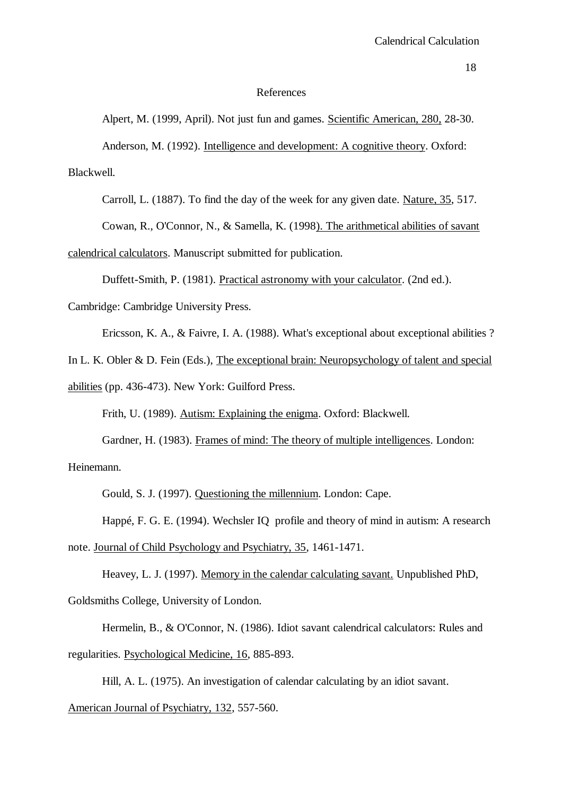### References

Alpert, M. (1999, April). Not just fun and games. Scientific American, 280, 28-30. Anderson, M. (1992). Intelligence and development: A cognitive theory. Oxford: Blackwell.

Carroll, L. (1887). To find the day of the week for any given date. Nature, 35, 517.

Cowan, R., O'Connor, N., & Samella, K. (1998). The arithmetical abilities of savant

calendrical calculators. Manuscript submitted for publication.

Duffett-Smith, P. (1981). Practical astronomy with your calculator. (2nd ed.).

Cambridge: Cambridge University Press.

Ericsson, K. A., & Faivre, I. A. (1988). What's exceptional about exceptional abilities ?

In L. K. Obler & D. Fein (Eds.), The exceptional brain: Neuropsychology of talent and special

abilities (pp. 436-473). New York: Guilford Press.

Frith, U. (1989). Autism: Explaining the enigma. Oxford: Blackwell.

Gardner, H. (1983). Frames of mind: The theory of multiple intelligences. London: Heinemann.

Gould, S. J. (1997). Questioning the millennium. London: Cape.

Happé, F. G. E. (1994). Wechsler IQ profile and theory of mind in autism: A research note. Journal of Child Psychology and Psychiatry, 35, 1461-1471.

Heavey, L. J. (1997). Memory in the calendar calculating savant. Unpublished PhD, Goldsmiths College, University of London.

Hermelin, B., & O'Connor, N. (1986). Idiot savant calendrical calculators: Rules and regularities. Psychological Medicine, 16, 885-893.

Hill, A. L. (1975). An investigation of calendar calculating by an idiot savant.

American Journal of Psychiatry, 132, 557-560.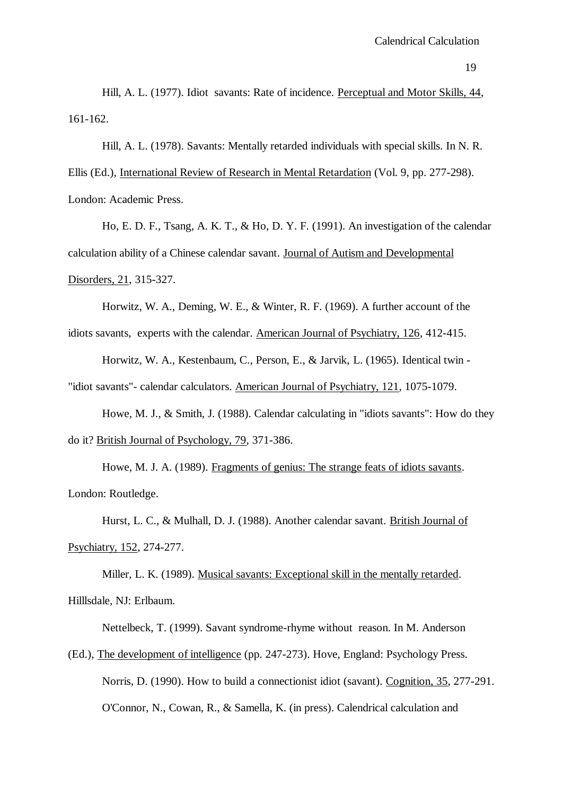Hill, A. L. (1977). Idiot savants: Rate of incidence. Perceptual and Motor Skills, 44, 161-162.

Hill, A. L. (1978). Savants: Mentally retarded individuals with special skills. In N. R. Ellis (Ed.), International Review of Research in Mental Retardation (Vol. 9, pp. 277-298). London: Academic Press.

Ho, E. D. F., Tsang, A. K. T., & Ho, D. Y. F. (1991). An investigation of the calendar calculation ability of a Chinese calendar savant. Journal of Autism and Developmental Disorders, 21, 315-327.

Horwitz, W. A., Deming, W. E., & Winter, R. F. (1969). A further account of the idiots savants, experts with the calendar. American Journal of Psychiatry, 126, 412-415.

Horwitz, W. A., Kestenbaum, C., Person, E., & Jarvik, L. (1965). Identical twin -

"idiot savants"- calendar calculators. American Journal of Psychiatry, 121, 1075-1079.

Howe, M. J., & Smith, J. (1988). Calendar calculating in "idiots savants": How do they do it? British Journal of Psychology, 79, 371-386.

Howe, M. J. A. (1989). Fragments of genius: The strange feats of idiots savants. London: Routledge.

Hurst, L. C., & Mulhall, D. J. (1988). Another calendar savant. British Journal of Psychiatry, 152, 274-277.

Miller, L. K. (1989). Musical savants: Exceptional skill in the mentally retarded. Hilllsdale, NJ: Erlbaum.

Nettelbeck, T. (1999). Savant syndrome-rhyme without reason. In M. Anderson

(Ed.), The development of intelligence (pp. 247-273). Hove, England: Psychology Press. Norris, D. (1990). How to build a connectionist idiot (savant). Cognition, 35, 277-291. O'Connor, N., Cowan, R., & Samella, K. (in press). Calendrical calculation and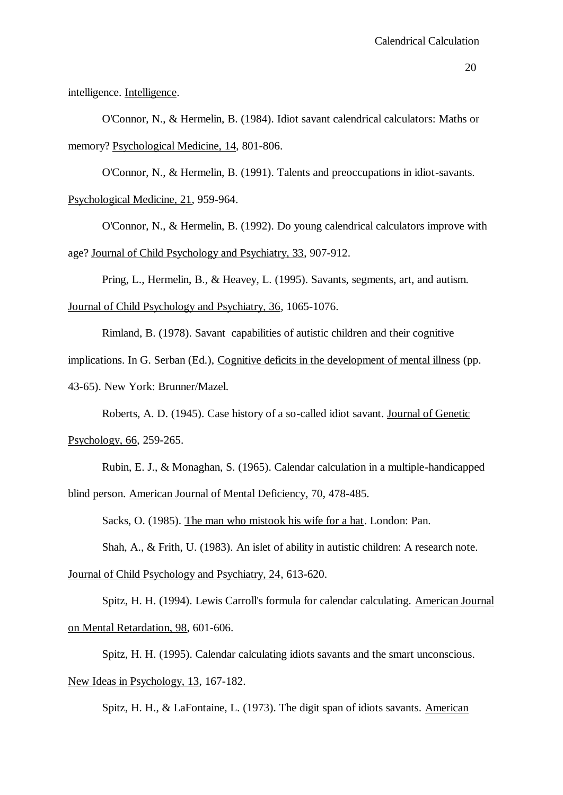intelligence. Intelligence.

O'Connor, N., & Hermelin, B. (1984). Idiot savant calendrical calculators: Maths or memory? Psychological Medicine, 14, 801-806.

O'Connor, N., & Hermelin, B. (1991). Talents and preoccupations in idiot-savants. Psychological Medicine, 21, 959-964.

O'Connor, N., & Hermelin, B. (1992). Do young calendrical calculators improve with age? Journal of Child Psychology and Psychiatry, 33, 907-912.

Pring, L., Hermelin, B., & Heavey, L. (1995). Savants, segments, art, and autism.

Journal of Child Psychology and Psychiatry, 36, 1065-1076.

Rimland, B. (1978). Savant capabilities of autistic children and their cognitive

implications. In G. Serban (Ed.), Cognitive deficits in the development of mental illness (pp.

43-65). New York: Brunner/Mazel.

Roberts, A. D. (1945). Case history of a so-called idiot savant. Journal of Genetic

Psychology, 66, 259-265.

Rubin, E. J., & Monaghan, S. (1965). Calendar calculation in a multiple-handicapped blind person. American Journal of Mental Deficiency, 70, 478-485.

Sacks, O. (1985). The man who mistook his wife for a hat. London: Pan.

Shah, A., & Frith, U. (1983). An islet of ability in autistic children: A research note.

Journal of Child Psychology and Psychiatry, 24, 613-620.

Spitz, H. H. (1994). Lewis Carroll's formula for calendar calculating. American Journal on Mental Retardation, 98, 601-606.

Spitz, H. H. (1995). Calendar calculating idiots savants and the smart unconscious. New Ideas in Psychology, 13, 167-182.

Spitz, H. H., & LaFontaine, L. (1973). The digit span of idiots savants. American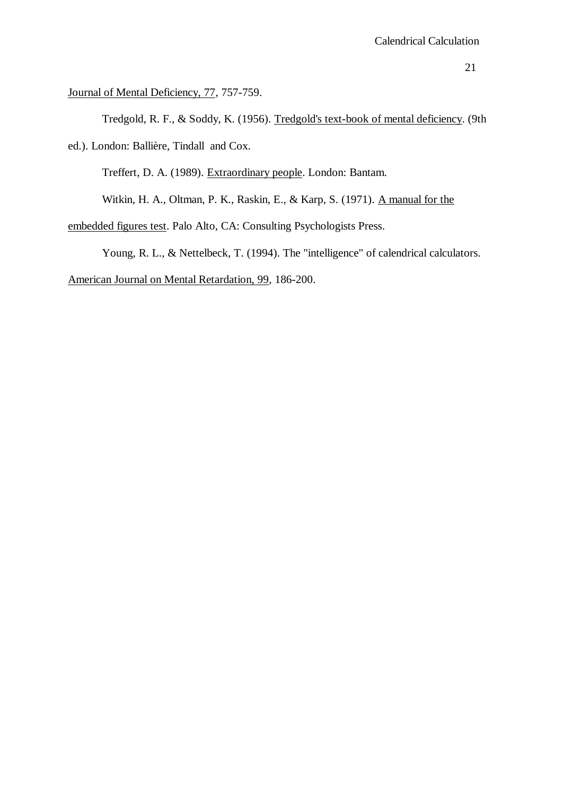Journal of Mental Deficiency, 77, 757-759.

Tredgold, R. F., & Soddy, K. (1956). Tredgold's text-book of mental deficiency. (9th ed.). London: Ballière, Tindall and Cox.

Treffert, D. A. (1989). Extraordinary people. London: Bantam.

Witkin, H. A., Oltman, P. K., Raskin, E., & Karp, S. (1971). A manual for the

embedded figures test. Palo Alto, CA: Consulting Psychologists Press.

Young, R. L., & Nettelbeck, T. (1994). The "intelligence" of calendrical calculators.

American Journal on Mental Retardation, 99, 186-200.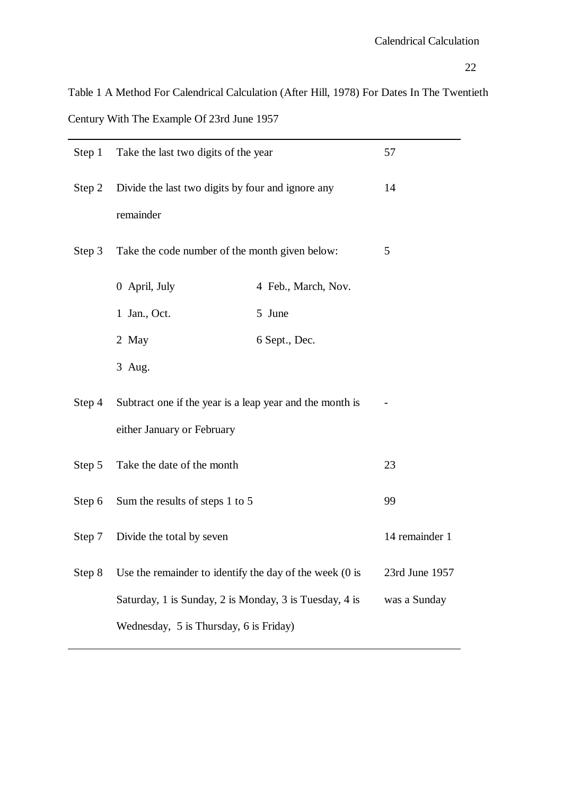Table 1 A Method For Calendrical Calculation (After Hill, 1978) For Dates In The Twentieth Century With The Example Of 23rd June 1957

| Step 1 | Take the last two digits of the year                                                   | 57                  |  |  |  |
|--------|----------------------------------------------------------------------------------------|---------------------|--|--|--|
| Step 2 | Divide the last two digits by four and ignore any<br>remainder                         | 14                  |  |  |  |
| Step 3 | Take the code number of the month given below:                                         | 5                   |  |  |  |
|        | 0 April, July                                                                          | 4 Feb., March, Nov. |  |  |  |
|        | 1 Jan., Oct.                                                                           | 5 June              |  |  |  |
|        | 2 May                                                                                  | 6 Sept., Dec.       |  |  |  |
|        | 3 Aug.                                                                                 |                     |  |  |  |
| Step 4 | Subtract one if the year is a leap year and the month is<br>either January or February |                     |  |  |  |
| Step 5 | Take the date of the month                                                             | 23                  |  |  |  |
| Step 6 | Sum the results of steps 1 to 5                                                        | 99                  |  |  |  |
| Step 7 | Divide the total by seven                                                              | 14 remainder 1      |  |  |  |
| Step 8 | Use the remainder to identify the day of the week $(0)$ is                             | 23rd June 1957      |  |  |  |
|        | Saturday, 1 is Sunday, 2 is Monday, 3 is Tuesday, 4 is                                 | was a Sunday        |  |  |  |
|        | Wednesday, 5 is Thursday, 6 is Friday)                                                 |                     |  |  |  |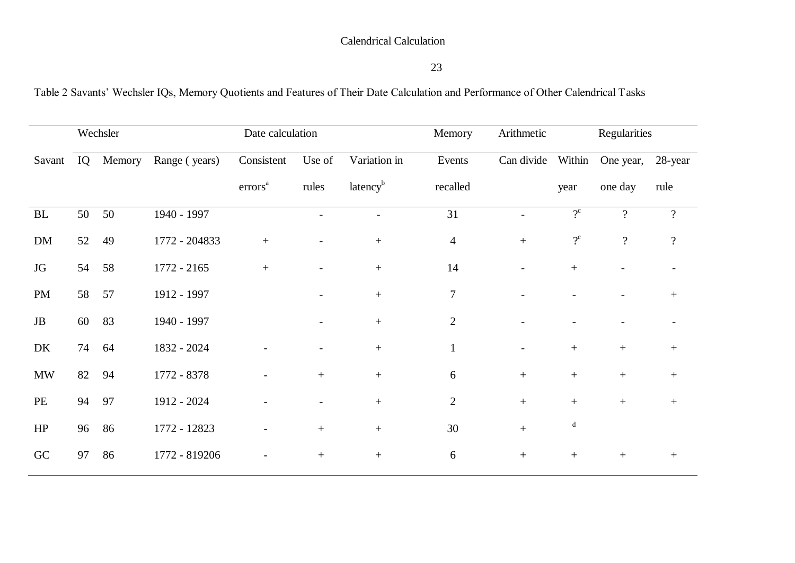# Calendrical Calculation

Table 2 Savants' Wechsler IQs, Memory Quotients and Features of Their Date Calculation and Performance of Other Calendrical Tasks

| Wechsler            |    | Date calculation |               |                     | Memory | Regularities<br>Arithmetic |                |                          |                  |                          |                          |
|---------------------|----|------------------|---------------|---------------------|--------|----------------------------|----------------|--------------------------|------------------|--------------------------|--------------------------|
| Savant              | IQ | Memory           | Range (years) | Consistent          | Use of | Variation in               | Events         | Can divide               | Within           | One year,                | 28-year                  |
|                     |    |                  |               | errors <sup>a</sup> | rules  | latency <sup>b</sup>       | recalled       |                          | year             | one day                  | rule                     |
| $\operatorname{BL}$ | 50 | 50               | 1940 - 1997   |                     |        |                            | 31             | $\overline{a}$           | $2^{\rm c}$      | $\overline{?}$           | $\overline{\mathcal{L}}$ |
| DM                  | 52 | 49               | 1772 - 204833 | $^{+}$              |        | $^{+}$                     | $\overline{4}$ | $+$                      | $2^{\circ}$      | $\overline{\mathcal{L}}$ | $\overline{?}$           |
| JG                  | 54 | 58               | 1772 - 2165   | $+$                 |        | $+$                        | 14             |                          | $+$              |                          |                          |
| PM                  | 58 | 57               | 1912 - 1997   |                     |        | $+$                        | $\overline{7}$ |                          |                  |                          | $^{+}$                   |
| $\rm{JB}$           | 60 | 83               | 1940 - 1997   |                     |        | $+$                        | $\overline{2}$ |                          |                  |                          |                          |
| DK                  | 74 | 64               | 1832 - 2024   |                     |        | $+$                        | $\mathbf{1}$   | $\overline{\phantom{a}}$ | $+$              | $+$                      | $+$                      |
| $\text{MW}{}$       | 82 | 94               | 1772 - 8378   |                     | $+$    | $+$                        | 6              | $+$                      | $\,+\,$          | $\, +$                   | $^{+}$                   |
| PE                  | 94 | 97               | 1912 - 2024   |                     |        | $\boldsymbol{+}$           | $\overline{2}$ | $\boldsymbol{+}$         | $\boldsymbol{+}$ | $\boldsymbol{+}$         | $^{+}$                   |
| HP                  | 96 | 86               | 1772 - 12823  |                     |        | $^{+}$                     | 30             | $+$                      | d                |                          |                          |
| GC                  | 97 | 86               | 1772 - 819206 |                     | $^{+}$ | $^{+}$                     | 6              | $\boldsymbol{+}$         | $\boldsymbol{+}$ | $\boldsymbol{+}$         | $^{+}$                   |